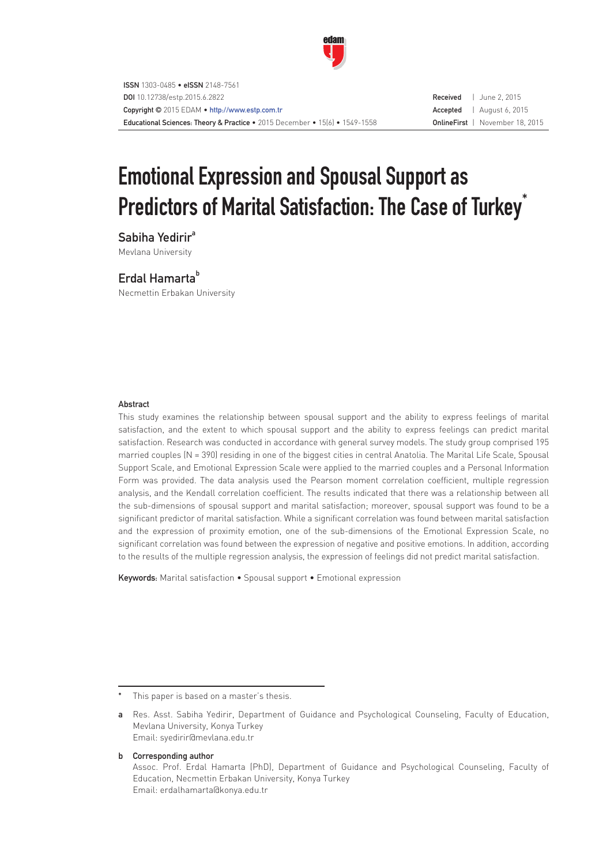

# Emotional Expression and Spousal Support as Predictors of Marital Satisfaction: The Case of Turkey<sup>\*</sup>

Sabiha Yedirir<sup>a</sup> Mevlana University

# Erdal Hamarta<sup>b</sup>

Necmettin Erbakan University

#### **Abstract**

This study examines the relationship between spousal support and the ability to express feelings of marital satisfaction, and the extent to which spousal support and the ability to express feelings can predict marital satisfaction. Research was conducted in accordance with general survey models. The study group comprised 195 married couples (N = 390) residing in one of the biggest cities in central Anatolia. The Marital Life Scale, Spousal Support Scale, and Emotional Expression Scale were applied to the married couples and a Personal Information Form was provided. The data analysis used the Pearson moment correlation coefficient, multiple regression analysis, and the Kendall correlation coefficient. The results indicated that there was a relationship between all the sub-dimensions of spousal support and marital satisfaction; moreover, spousal support was found to be a significant predictor of marital satisfaction. While a significant correlation was found between marital satisfaction and the expression of proximity emotion, one of the sub-dimensions of the Emotional Expression Scale, no significant correlation was found between the expression of negative and positive emotions. In addition, according to the results of the multiple regression analysis, the expression of feelings did not predict marital satisfaction.

Keywords: Marital satisfaction • Spousal support • Emotional expression

b Corresponding author

This paper is based on a master's thesis.

a Res. Asst. Sabiha Yedirir, Department of Guidance and Psychological Counseling, Faculty of Education, Mevlana University, Konya Turkey Email: syedirir@mevlana.edu.tr

Assoc. Prof. Erdal Hamarta (PhD), Department of Guidance and Psychological Counseling, Faculty of Education, Necmettin Erbakan University, Konya Turkey Email: erdalhamarta@konya.edu.tr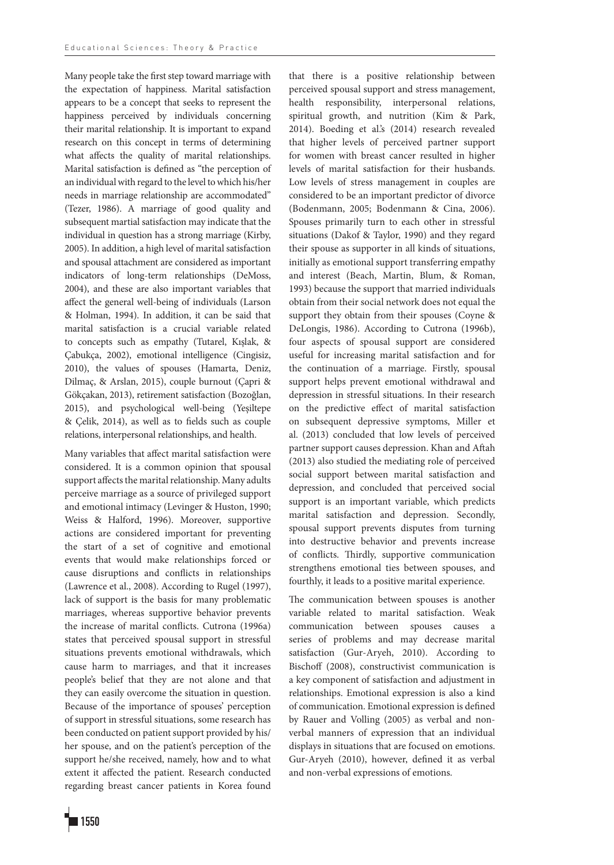Many people take the first step toward marriage with the expectation of happiness. Marital satisfaction appears to be a concept that seeks to represent the happiness perceived by individuals concerning their marital relationship. It is important to expand research on this concept in terms of determining what affects the quality of marital relationships. Marital satisfaction is defined as "the perception of an individual with regard to the level to which his/her needs in marriage relationship are accommodated" (Tezer, 1986). A marriage of good quality and subsequent martial satisfaction may indicate that the individual in question has a strong marriage (Kirby, 2005). In addition, a high level of marital satisfaction and spousal attachment are considered as important indicators of long-term relationships (DeMoss, 2004), and these are also important variables that affect the general well-being of individuals (Larson & Holman, 1994). In addition, it can be said that marital satisfaction is a crucial variable related to concepts such as empathy (Tutarel, Kışlak, & Çabukça, 2002), emotional intelligence (Cingisiz, 2010), the values of spouses (Hamarta, Deniz, Dilmaç, & Arslan, 2015), couple burnout (Çapri & Gökçakan, 2013), retirement satisfaction (Bozoğlan, 2015), and psychological well-being (Yeşiltepe & Çelik, 2014), as well as to fields such as couple relations, interpersonal relationships, and health.

Many variables that affect marital satisfaction were considered. It is a common opinion that spousal support affects the marital relationship. Many adults perceive marriage as a source of privileged support and emotional intimacy (Levinger & Huston, 1990; Weiss & Halford, 1996). Moreover, supportive actions are considered important for preventing the start of a set of cognitive and emotional events that would make relationships forced or cause disruptions and conflicts in relationships (Lawrence et al., 2008). According to Rugel (1997), lack of support is the basis for many problematic marriages, whereas supportive behavior prevents the increase of marital conflicts. Cutrona (1996a) states that perceived spousal support in stressful situations prevents emotional withdrawals, which cause harm to marriages, and that it increases people's belief that they are not alone and that they can easily overcome the situation in question. Because of the importance of spouses' perception of support in stressful situations, some research has been conducted on patient support provided by his/ her spouse, and on the patient's perception of the support he/she received, namely, how and to what extent it affected the patient. Research conducted regarding breast cancer patients in Korea found perceived spousal support and stress management, health responsibility, interpersonal relations, spiritual growth, and nutrition (Kim & Park, 2014). Boeding et al.'s (2014) research revealed that higher levels of perceived partner support for women with breast cancer resulted in higher levels of marital satisfaction for their husbands. Low levels of stress management in couples are considered to be an important predictor of divorce (Bodenmann, 2005; Bodenmann & Cina, 2006). Spouses primarily turn to each other in stressful situations (Dakof & Taylor, 1990) and they regard their spouse as supporter in all kinds of situations, initially as emotional support transferring empathy and interest (Beach, Martin, Blum, & Roman, 1993) because the support that married individuals obtain from their social network does not equal the support they obtain from their spouses (Coyne & DeLongis, 1986). According to Cutrona (1996b), four aspects of spousal support are considered useful for increasing marital satisfaction and for the continuation of a marriage. Firstly, spousal support helps prevent emotional withdrawal and depression in stressful situations. In their research on the predictive effect of marital satisfaction on subsequent depressive symptoms, Miller et al. (2013) concluded that low levels of perceived partner support causes depression. Khan and Aftah (2013) also studied the mediating role of perceived social support between marital satisfaction and depression, and concluded that perceived social support is an important variable, which predicts marital satisfaction and depression. Secondly, spousal support prevents disputes from turning into destructive behavior and prevents increase of conflicts. Thirdly, supportive communication strengthens emotional ties between spouses, and fourthly, it leads to a positive marital experience.

that there is a positive relationship between

The communication between spouses is another variable related to marital satisfaction. Weak communication between spouses causes a series of problems and may decrease marital satisfaction (Gur-Aryeh, 2010). According to Bischoff (2008), constructivist communication is a key component of satisfaction and adjustment in relationships. Emotional expression is also a kind of communication. Emotional expression is defined by Rauer and Volling (2005) as verbal and nonverbal manners of expression that an individual displays in situations that are focused on emotions. Gur-Aryeh (2010), however, defined it as verbal and non-verbal expressions of emotions.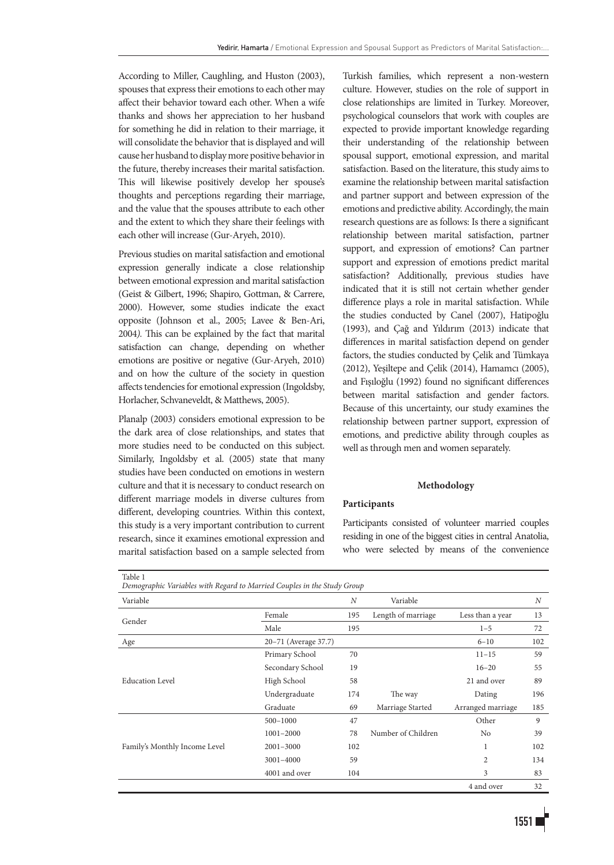According to Miller, Caughling, and Huston (2003), spouses that express their emotions to each other may affect their behavior toward each other. When a wife thanks and shows her appreciation to her husband for something he did in relation to their marriage, it will consolidate the behavior that is displayed and will cause her husband to display more positive behavior in the future, thereby increases their marital satisfaction. This will likewise positively develop her spouse's thoughts and perceptions regarding their marriage, and the value that the spouses attribute to each other and the extent to which they share their feelings with each other will increase (Gur-Aryeh, 2010).

Previous studies on marital satisfaction and emotional expression generally indicate a close relationship between emotional expression and marital satisfaction (Geist & Gilbert, 1996; Shapiro, Gottman, & Carrere, 2000). However, some studies indicate the exact opposite (Johnson et al., 2005; Lavee & Ben-Ari, 2004*).* This can be explained by the fact that marital satisfaction can change, depending on whether emotions are positive or negative (Gur-Aryeh, 2010) and on how the culture of the society in question affects tendencies for emotional expression (Ingoldsby, Horlacher, Schvaneveldt, & Matthews, 2005).

Planalp (2003) considers emotional expression to be the dark area of close relationships, and states that more studies need to be conducted on this subject. Similarly, Ingoldsby et al. (2005) state that many studies have been conducted on emotions in western culture and that it is necessary to conduct research on different marriage models in diverse cultures from different, developing countries. Within this context, this study is a very important contribution to current research, since it examines emotional expression and marital satisfaction based on a sample selected from

Turkish families, which represent a non-western culture. However, studies on the role of support in close relationships are limited in Turkey. Moreover, psychological counselors that work with couples are expected to provide important knowledge regarding their understanding of the relationship between spousal support, emotional expression, and marital satisfaction. Based on the literature, this study aims to examine the relationship between marital satisfaction and partner support and between expression of the emotions and predictive ability. Accordingly, the main research questions are as follows: Is there a significant relationship between marital satisfaction, partner support, and expression of emotions? Can partner support and expression of emotions predict marital satisfaction? Additionally, previous studies have indicated that it is still not certain whether gender difference plays a role in marital satisfaction. While the studies conducted by Canel (2007), Hatipoğlu (1993), and Çağ and Yıldırım (2013) indicate that differences in marital satisfaction depend on gender factors, the studies conducted by Çelik and Tümkaya (2012), Yeşiltepe and Çelik (2014), Hamamcı (2005), and Fışıloğlu (1992) found no significant differences between marital satisfaction and gender factors. Because of this uncertainty, our study examines the relationship between partner support, expression of emotions, and predictive ability through couples as well as through men and women separately.

#### **Methodology**

#### **Participants**

Participants consisted of volunteer married couples residing in one of the biggest cities in central Anatolia, who were selected by means of the convenience

| Table 1<br>Demographic Variables with Regard to Married Couples in the Study Group |                      |     |                    |                   |     |
|------------------------------------------------------------------------------------|----------------------|-----|--------------------|-------------------|-----|
| Variable                                                                           |                      | N   | Variable           |                   | N   |
| Gender                                                                             | Female               | 195 | Length of marriage | Less than a year  | 13  |
|                                                                                    | Male                 | 195 |                    | $1 - 5$           | 72  |
| Age                                                                                | 20-71 (Average 37.7) |     |                    | $6 - 10$          | 102 |
|                                                                                    | Primary School       | 70  |                    | $11 - 15$         | 59  |
|                                                                                    | Secondary School     | 19  |                    | $16 - 20$         | 55  |
| <b>Education Level</b>                                                             | High School          | 58  |                    | 21 and over       | 89  |
|                                                                                    | Undergraduate        | 174 | The way            | Dating            | 196 |
|                                                                                    | Graduate             | 69  | Marriage Started   | Arranged marriage | 185 |
|                                                                                    | $500 - 1000$         | 47  |                    | Other             | 9   |
|                                                                                    | 1001-2000            | 78  | Number of Children | No                | 39  |
| Family's Monthly Income Level                                                      | 2001-3000            | 102 |                    | 1                 | 102 |
|                                                                                    | 3001-4000            | 59  |                    | 2                 | 134 |
|                                                                                    | 4001 and over        | 104 |                    | 3                 | 83  |
|                                                                                    |                      |     |                    | 4 and over        | 32  |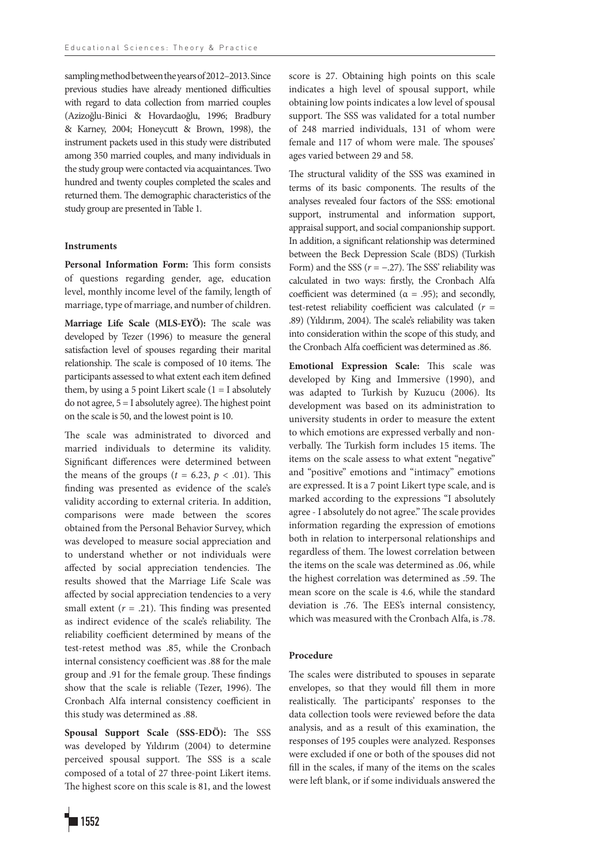sampling method between the years of 2012–2013. Since previous studies have already mentioned difficulties with regard to data collection from married couples (Azizoğlu-Binici & Hovardaoğlu, 1996; Bradbury & Karney, 2004; Honeycutt & Brown, 1998), the instrument packets used in this study were distributed among 350 married couples, and many individuals in the study group were contacted via acquaintances. Two hundred and twenty couples completed the scales and returned them. The demographic characteristics of the study group are presented in Table 1.

#### **Instruments**

**Personal Information Form:** This form consists of questions regarding gender, age, education level, monthly income level of the family, length of marriage, type of marriage, and number of children.

**Marriage Life Scale (MLS-EYÖ):** The scale was developed by Tezer (1996) to measure the general satisfaction level of spouses regarding their marital relationship. The scale is composed of 10 items. The participants assessed to what extent each item defined them, by using a 5 point Likert scale  $(1 = I$  absolutely do not agree,  $5 = I$  absolutely agree). The highest point on the scale is 50, and the lowest point is 10.

The scale was administrated to divorced and married individuals to determine its validity. Significant differences were determined between the means of the groups ( $t = 6.23$ ,  $p < .01$ ). This finding was presented as evidence of the scale's validity according to external criteria. In addition, comparisons were made between the scores obtained from the Personal Behavior Survey, which was developed to measure social appreciation and to understand whether or not individuals were affected by social appreciation tendencies. The results showed that the Marriage Life Scale was affected by social appreciation tendencies to a very small extent  $(r = .21)$ . This finding was presented as indirect evidence of the scale's reliability. The reliability coefficient determined by means of the test-retest method was .85, while the Cronbach internal consistency coefficient was .88 for the male group and .91 for the female group. These findings show that the scale is reliable (Tezer, 1996). The Cronbach Alfa internal consistency coefficient in this study was determined as .88.

**Spousal Support Scale (SSS-EDÖ):** The SSS was developed by Yıldırım (2004) to determine perceived spousal support. The SSS is a scale composed of a total of 27 three-point Likert items. The highest score on this scale is 81, and the lowest

obtaining low points indicates a low level of spousal support. The SSS was validated for a total number of 248 married individuals, 131 of whom were female and 117 of whom were male. The spouses' ages varied between 29 and 58. The structural validity of the SSS was examined in terms of its basic components. The results of the analyses revealed four factors of the SSS: emotional

support, instrumental and information support, appraisal support, and social companionship support. In addition, a significant relationship was determined between the Beck Depression Scale (BDS) (Turkish Form) and the SSS  $(r = -.27)$ . The SSS' reliability was calculated in two ways: firstly, the Cronbach Alfa coefficient was determined ( $\alpha = .95$ ); and secondly, test-retest reliability coefficient was calculated (*r* = .89) (Yıldırım, 2004). The scale's reliability was taken into consideration within the scope of this study, and the Cronbach Alfa coefficient was determined as .86.

score is 27. Obtaining high points on this scale indicates a high level of spousal support, while

**Emotional Expression Scale:** This scale was developed by King and Immersive (1990), and was adapted to Turkish by Kuzucu (2006). Its development was based on its administration to university students in order to measure the extent to which emotions are expressed verbally and nonverbally. The Turkish form includes 15 items. The items on the scale assess to what extent "negative" and "positive" emotions and "intimacy" emotions are expressed. It is a 7 point Likert type scale, and is marked according to the expressions "I absolutely agree - I absolutely do not agree." The scale provides information regarding the expression of emotions both in relation to interpersonal relationships and regardless of them. The lowest correlation between the items on the scale was determined as .06, while the highest correlation was determined as .59. The mean score on the scale is 4.6, while the standard deviation is .76. The EES's internal consistency, which was measured with the Cronbach Alfa, is .78.

### **Procedure**

The scales were distributed to spouses in separate envelopes, so that they would fill them in more realistically. The participants' responses to the data collection tools were reviewed before the data analysis, and as a result of this examination, the responses of 195 couples were analyzed. Responses were excluded if one or both of the spouses did not fill in the scales, if many of the items on the scales were left blank, or if some individuals answered the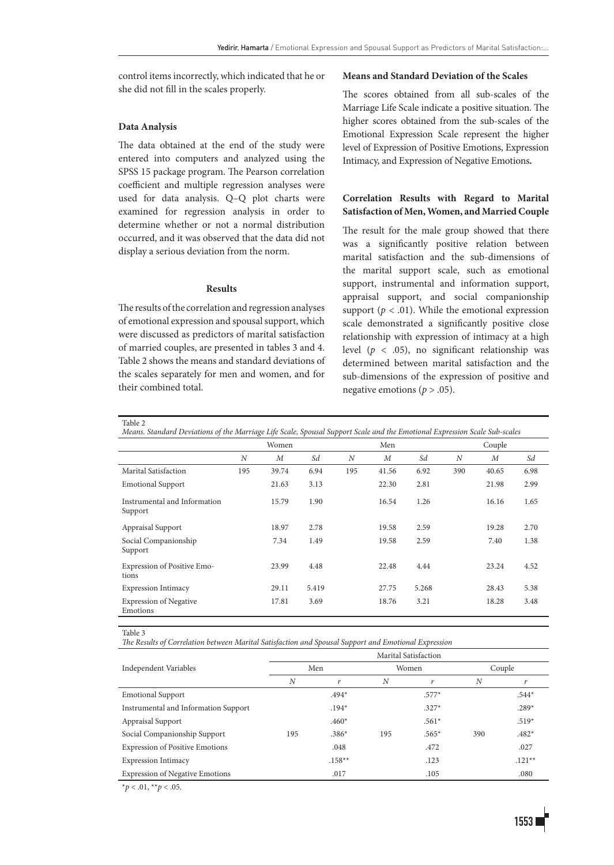control items incorrectly, which indicated that he or she did not fill in the scales properly.

#### **Data Analysis**

The data obtained at the end of the study were entered into computers and analyzed using the SPSS 15 package program. The Pearson correlation coefficient and multiple regression analyses were used for data analysis. Q–Q plot charts were examined for regression analysis in order to determine whether or not a normal distribution occurred, and it was observed that the data did not display a serious deviation from the norm.

#### **Results**

The results of the correlation and regression analyses of emotional expression and spousal support, which were discussed as predictors of marital satisfaction of married couples, are presented in tables 3 and 4. Table 2 shows the means and standard deviations of the scales separately for men and women, and for their combined total.

#### **Means and Standard Deviation of the Scales**

The scores obtained from all sub-scales of the Marriage Life Scale indicate a positive situation. The higher scores obtained from the sub-scales of the Emotional Expression Scale represent the higher level of Expression of Positive Emotions, Expression Intimacy, and Expression of Negative Emotions**.**

## **Correlation Results with Regard to Marital Satisfaction of Men, Women, and Married Couple**

The result for the male group showed that there was a significantly positive relation between marital satisfaction and the sub-dimensions of the marital support scale, such as emotional support, instrumental and information support, appraisal support, and social companionship support ( $p < .01$ ). While the emotional expression scale demonstrated a significantly positive close relationship with expression of intimacy at a high level (*p* < .05), no significant relationship was determined between marital satisfaction and the sub-dimensions of the expression of positive and negative emotions (*p* > .05).

Table 2

| Means. Standard Deviations of the Marriage Life Scale, Spousal Support Scale and the Emotional Expression Scale Sub-scales |       |       |       |     |                  |       |                  |                  |      |  |
|----------------------------------------------------------------------------------------------------------------------------|-------|-------|-------|-----|------------------|-------|------------------|------------------|------|--|
|                                                                                                                            | Women |       |       | Men |                  |       | Couple           |                  |      |  |
|                                                                                                                            | N     | M     | Sd    | N   | $\boldsymbol{M}$ | Sd    | $\boldsymbol{N}$ | $\boldsymbol{M}$ | Sd   |  |
| Marital Satisfaction                                                                                                       | 195   | 39.74 | 6.94  | 195 | 41.56            | 6.92  | 390              | 40.65            | 6.98 |  |
| <b>Emotional Support</b>                                                                                                   |       | 21.63 | 3.13  |     | 22.30            | 2.81  |                  | 21.98            | 2.99 |  |
| Instrumental and Information<br>Support                                                                                    |       | 15.79 | 1.90  |     | 16.54            | 1.26  |                  | 16.16            | 1.65 |  |
| Appraisal Support                                                                                                          |       | 18.97 | 2.78  |     | 19.58            | 2.59  |                  | 19.28            | 2.70 |  |
| Social Companionship<br>Support                                                                                            |       | 7.34  | 1.49  |     | 19.58            | 2.59  |                  | 7.40             | 1.38 |  |
| Expression of Positive Emo-<br>tions                                                                                       |       | 23.99 | 4.48  |     | 22.48            | 4.44  |                  | 23.24            | 4.52 |  |
| <b>Expression Intimacy</b>                                                                                                 |       | 29.11 | 5.419 |     | 27.75            | 5.268 |                  | 28.43            | 5.38 |  |
| <b>Expression of Negative</b><br>Emotions                                                                                  |       | 17.81 | 3.69  |     | 18.76            | 3.21  |                  | 18.28            | 3.48 |  |

Table 3

*The Results of Correlation between Marital Satisfaction and Spousal Support and Emotional Expression*

|                                        | Marital Satisfaction |          |     |         |        |          |  |  |  |  |
|----------------------------------------|----------------------|----------|-----|---------|--------|----------|--|--|--|--|
| Independent Variables                  |                      | Men      |     | Women   | Couple |          |  |  |  |  |
|                                        | N                    | r        | N   | r       | N      |          |  |  |  |  |
| <b>Emotional Support</b>               |                      | $.494*$  |     | $.577*$ |        | $.544*$  |  |  |  |  |
| Instrumental and Information Support   |                      | $.194*$  |     | $.327*$ |        | $.289*$  |  |  |  |  |
| Appraisal Support                      |                      | $.460*$  |     | $.561*$ |        | $.519*$  |  |  |  |  |
| Social Companionship Support           | 195                  | $.386*$  | 195 | $.565*$ | 390    | $.482*$  |  |  |  |  |
| <b>Expression of Positive Emotions</b> |                      | .048     |     | .472    |        | .027     |  |  |  |  |
| <b>Expression Intimacy</b>             |                      | $.158**$ |     | .123    |        | $.121**$ |  |  |  |  |
| <b>Expression of Negative Emotions</b> |                      | .017     |     | .105    |        | .080     |  |  |  |  |
|                                        |                      |          |     |         |        |          |  |  |  |  |

\**p* < .01, \*\**p* < .05.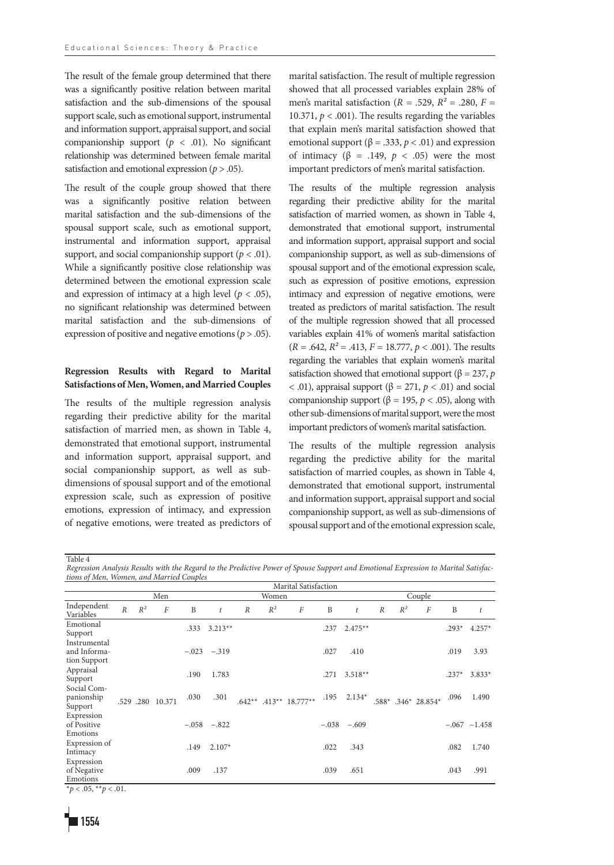The result of the female group determined that there was a significantly positive relation between marital satisfaction and the sub-dimensions of the spousal support scale, such as emotional support, instrumental and information support, appraisal support, and social companionship support  $(p < .01)$ . No significant relationship was determined between female marital satisfaction and emotional expression (*p* > .05).

The result of the couple group showed that there was a significantly positive relation between marital satisfaction and the sub-dimensions of the spousal support scale, such as emotional support, instrumental and information support, appraisal support, and social companionship support  $(p < .01)$ . While a significantly positive close relationship was determined between the emotional expression scale and expression of intimacy at a high level ( $p < .05$ ), no significant relationship was determined between marital satisfaction and the sub-dimensions of expression of positive and negative emotions (*p* > .05).

# **Regression Results with Regard to Marital Satisfactions of Men, Women, and Married Couples**

The results of the multiple regression analysis regarding their predictive ability for the marital satisfaction of married men, as shown in Table 4, demonstrated that emotional support, instrumental and information support, appraisal support, and social companionship support, as well as subdimensions of spousal support and of the emotional expression scale, such as expression of positive emotions, expression of intimacy, and expression of negative emotions, were treated as predictors of marital satisfaction. The result of multiple regression showed that all processed variables explain 28% of men's marital satisfaction ( $R = .529$ ,  $R^2 = .280$ ,  $F =$ 10.371,  $p < .001$ ). The results regarding the variables that explain men's marital satisfaction showed that emotional support ( $β = .333, p < .01$ ) and expression of intimacy (β = .149, *p* < .05) were the most important predictors of men's marital satisfaction.

The results of the multiple regression analysis regarding their predictive ability for the marital satisfaction of married women, as shown in Table 4, demonstrated that emotional support, instrumental and information support, appraisal support and social companionship support, as well as sub-dimensions of spousal support and of the emotional expression scale, such as expression of positive emotions, expression intimacy and expression of negative emotions, were treated as predictors of marital satisfaction. The result of the multiple regression showed that all processed variables explain 41% of women's marital satisfaction  $(R = .642, R^2 = .413, F = 18.777, p < .001)$ . The results regarding the variables that explain women's marital satisfaction showed that emotional support ( $\beta = 237$ , *p* < .01), appraisal support (β = 271, *p* < .01) and social companionship support (β = 195,  $p < .05$ ), along with other sub-dimensions of marital support, were the most important predictors of women's marital satisfaction.

The results of the multiple regression analysis regarding the predictive ability for the marital satisfaction of married couples, as shown in Table 4, demonstrated that emotional support, instrumental and information support, appraisal support and social companionship support, as well as sub-dimensions of spousal support and of the emotional expression scale,

Table 4

*Regression Analysis Results with the Regard to the Predictive Power of Spouse Support and Emotional Expression to Marital Satisfactions of Men, Women, and Married Couples* 

|                                              | Marital Satisfaction |                  |          |                |                  |                  |       |                              |      |                 |                     |       |                  |         |                  |
|----------------------------------------------|----------------------|------------------|----------|----------------|------------------|------------------|-------|------------------------------|------|-----------------|---------------------|-------|------------------|---------|------------------|
|                                              |                      |                  | Men      |                | Women            |                  |       |                              |      | Couple          |                     |       |                  |         |                  |
| Independent<br>Variables                     | $\overline{R}$       | $R^2$            | $\cal F$ | B              | $\boldsymbol{t}$ | $\boldsymbol{R}$ | $R^2$ | $\boldsymbol{F}$             | B    | t               | $\boldsymbol{R}$    | $R^2$ | $\boldsymbol{F}$ | B       | $\boldsymbol{t}$ |
| Emotional<br>Support                         |                      |                  |          | .333           | $3.213**$        |                  |       |                              | .237 | $2.475**$       |                     |       |                  | $.293*$ | $4.257*$         |
| Instrumental<br>and Informa-<br>tion Support |                      |                  |          | $-.023 - .319$ |                  |                  |       | .027                         | .410 |                 |                     |       | .019             | 3.93    |                  |
| Appraisal<br>Support                         |                      |                  |          | .190           | 1.783            |                  |       |                              | .271 | $3.518**$       |                     |       |                  | $.237*$ | $3.833*$         |
| Social Com-<br>panionship<br>Support         |                      | .529 .280 10.371 |          | .030           | .301             |                  |       | $.642**$ $.413**$ $18.777**$ |      | $.195$ $2.134*$ | .588* .346* 28.854* |       | .096             | 1.490   |                  |
| Expression<br>of Positive<br>Emotions        |                      |                  |          |                | $-.058 - .822$   |                  |       |                              |      | $-.038 - .609$  |                     |       |                  |         | $-.067 -1.458$   |
| Expression of<br>Intimacy                    |                      |                  |          | .149           | $2.107*$         |                  |       |                              | .022 | .343            |                     |       |                  | .082    | 1.740            |
| Expression<br>of Negative<br>Emotions        |                      |                  |          | .009           | .137             |                  |       |                              | .039 | .651            |                     |       |                  | .043    | .991             |

 $*_{p}$  < .05,  $*_{p}$  < .01.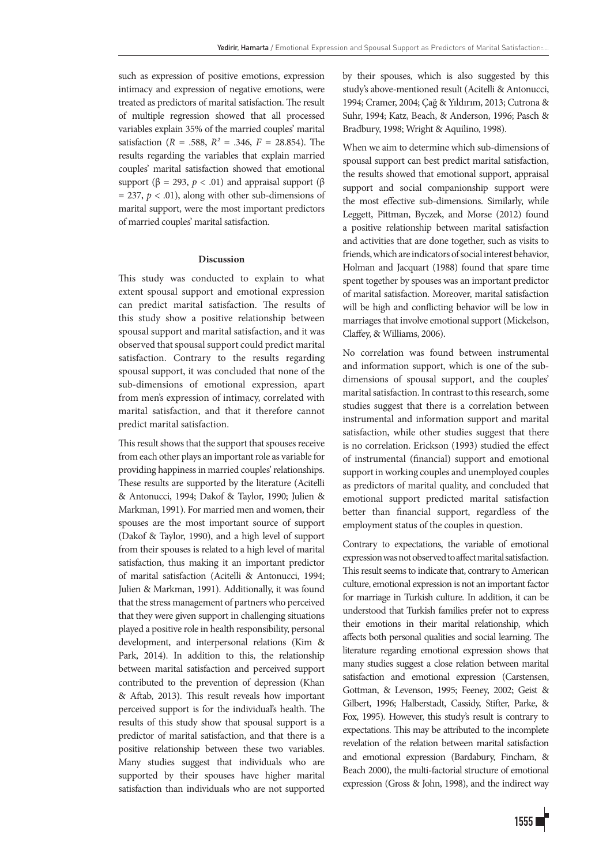such as expression of positive emotions, expression intimacy and expression of negative emotions, were treated as predictors of marital satisfaction. The result of multiple regression showed that all processed variables explain 35% of the married couples' marital satisfaction (*R* = .588, *R²* = .346, *F =* 28.854). The results regarding the variables that explain married couples' marital satisfaction showed that emotional support ( $\beta$  = 293,  $p < .01$ ) and appraisal support ( $\beta$  $= 237, p < .01$ ), along with other sub-dimensions of marital support, were the most important predictors of married couples' marital satisfaction.

# **Discussion**

This study was conducted to explain to what extent spousal support and emotional expression can predict marital satisfaction. The results of this study show a positive relationship between spousal support and marital satisfaction, and it was observed that spousal support could predict marital satisfaction. Contrary to the results regarding spousal support, it was concluded that none of the sub-dimensions of emotional expression, apart from men's expression of intimacy, correlated with marital satisfaction, and that it therefore cannot predict marital satisfaction.

This result shows that the support that spouses receive from each other plays an important role as variable for providing happiness in married couples' relationships. These results are supported by the literature (Acitelli & Antonucci, 1994; Dakof & Taylor, 1990; Julien & Markman, 1991). For married men and women, their spouses are the most important source of support (Dakof & Taylor, 1990), and a high level of support from their spouses is related to a high level of marital satisfaction, thus making it an important predictor of marital satisfaction (Acitelli & Antonucci, 1994; Julien & Markman, 1991). Additionally, it was found that the stress management of partners who perceived that they were given support in challenging situations played a positive role in health responsibility, personal development, and interpersonal relations (Kim & Park, 2014). In addition to this, the relationship between marital satisfaction and perceived support contributed to the prevention of depression (Khan & Aftab, 2013). This result reveals how important perceived support is for the individual's health. The results of this study show that spousal support is a predictor of marital satisfaction, and that there is a positive relationship between these two variables. Many studies suggest that individuals who are supported by their spouses have higher marital satisfaction than individuals who are not supported

by their spouses, which is also suggested by this study's above-mentioned result (Acitelli & Antonucci, 1994; Cramer, 2004; Çağ & Yıldırım, 2013; Cutrona & Suhr, 1994; Katz, Beach, & Anderson, 1996; Pasch & Bradbury, 1998; Wright & Aquilino, 1998).

When we aim to determine which sub-dimensions of spousal support can best predict marital satisfaction, the results showed that emotional support, appraisal support and social companionship support were the most effective sub-dimensions. Similarly, while Leggett, Pittman, Byczek, and Morse (2012) found a positive relationship between marital satisfaction and activities that are done together, such as visits to friends, which are indicators of social interest behavior, Holman and Jacquart (1988) found that spare time spent together by spouses was an important predictor of marital satisfaction. Moreover, marital satisfaction will be high and conflicting behavior will be low in marriages that involve emotional support (Mickelson, Claffey, & Williams, 2006).

No correlation was found between instrumental and information support, which is one of the subdimensions of spousal support, and the couples' marital satisfaction. In contrast to this research, some studies suggest that there is a correlation between instrumental and information support and marital satisfaction, while other studies suggest that there is no correlation. Erickson (1993) studied the effect of instrumental (financial) support and emotional support in working couples and unemployed couples as predictors of marital quality, and concluded that emotional support predicted marital satisfaction better than financial support, regardless of the employment status of the couples in question.

Contrary to expectations, the variable of emotional expression was not observed to affect marital satisfaction. This result seems to indicate that, contrary to American culture, emotional expression is not an important factor for marriage in Turkish culture. In addition, it can be understood that Turkish families prefer not to express their emotions in their marital relationship, which affects both personal qualities and social learning. The literature regarding emotional expression shows that many studies suggest a close relation between marital satisfaction and emotional expression (Carstensen, Gottman, & Levenson, 1995; Feeney, 2002; Geist & Gilbert, 1996; Halberstadt, Cassidy, Stifter, Parke, & Fox, 1995). However, this study's result is contrary to expectations. This may be attributed to the incomplete revelation of the relation between marital satisfaction and emotional expression (Bardabury, Fincham, & Beach 2000), the multi-factorial structure of emotional expression (Gross & John, 1998), and the indirect way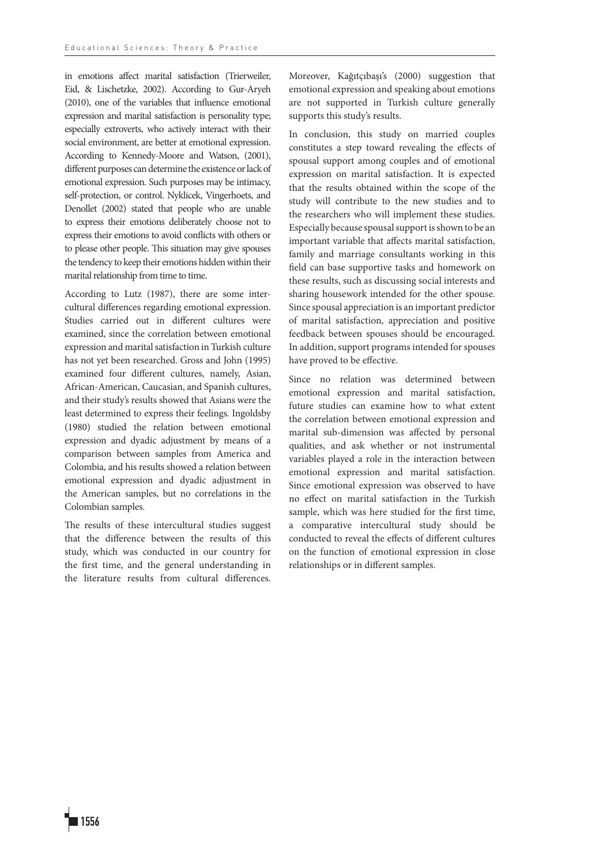in emotions affect marital satisfaction (Trierweiler, Eid, & Lischetzke, 2002). According to Gur-Aryeh (2010), one of the variables that influence emotional expression and marital satisfaction is personality type; especially extroverts, who actively interact with their social environment, are better at emotional expression. According to Kennedy-Moore and Watson, (2001), different purposes can determine the existence or lack of emotional expression. Such purposes may be intimacy, self-protection, or control. Nyklicek, Vingerhoets, and Denollet (2002) stated that people who are unable to express their emotions deliberately choose not to express their emotions to avoid conflicts with others or to please other people. This situation may give spouses the tendency to keep their emotions hidden within their marital relationship from time to time.

According to Lutz (1987), there are some intercultural differences regarding emotional expression. Studies carried out in different cultures were examined, since the correlation between emotional expression and marital satisfaction in Turkish culture has not yet been researched. Gross and John (1995) examined four different cultures, namely, Asian, African-American, Caucasian, and Spanish cultures, and their study's results showed that Asians were the least determined to express their feelings. Ingoldsby (1980) studied the relation between emotional expression and dyadic adjustment by means of a comparison between samples from America and Colombia, and his results showed a relation between emotional expression and dyadic adjustment in the American samples, but no correlations in the Colombian samples.

The results of these intercultural studies suggest that the difference between the results of this study, which was conducted in our country for the first time, and the general understanding in the literature results from cultural differences.

Moreover, Kağıtçıbaşı's (2000) suggestion that emotional expression and speaking about emotions are not supported in Turkish culture generally supports this study's results.

In conclusion, this study on married couples constitutes a step toward revealing the effects of spousal support among couples and of emotional expression on marital satisfaction. It is expected that the results obtained within the scope of the study will contribute to the new studies and to the researchers who will implement these studies. Especially because spousal support is shown to be an important variable that affects marital satisfaction, family and marriage consultants working in this field can base supportive tasks and homework on these results, such as discussing social interests and sharing housework intended for the other spouse. Since spousal appreciation is an important predictor of marital satisfaction, appreciation and positive feedback between spouses should be encouraged. In addition, support programs intended for spouses have proved to be effective.

Since no relation was determined between emotional expression and marital satisfaction, future studies can examine how to what extent the correlation between emotional expression and marital sub-dimension was affected by personal qualities, and ask whether or not instrumental variables played a role in the interaction between emotional expression and marital satisfaction. Since emotional expression was observed to have no effect on marital satisfaction in the Turkish sample, which was here studied for the first time, a comparative intercultural study should be conducted to reveal the effects of different cultures on the function of emotional expression in close relationships or in different samples.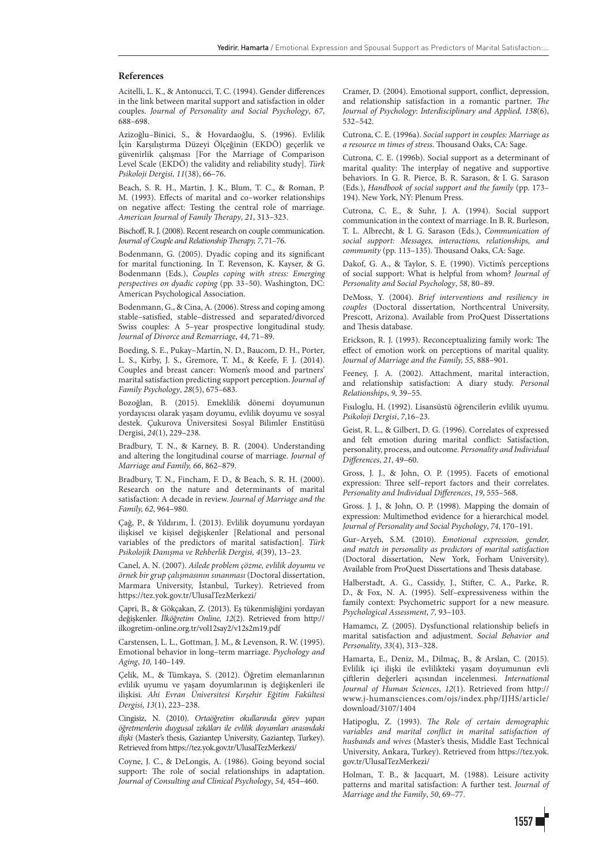#### **References**

Acitelli, L. K., & Antonucci, T. C. (1994). Gender differences in the link between marital support and satisfaction in older couples. *Journal of Personality and Social Psychology*, *67*, 688–698.

Azizoğlu–Binici, S., & Hovardaoğlu, S. (1996). Evlilik İçin Karşılıştırma Düzeyi Ölçeğinin (EKDÖ) geçerlik ve güvenirlik çalışması [For the Marriage of Comparison Level Scale (EKDÖ) the validity and reliability study]. *Türk Psikoloji Dergisi, 11*(38), 66–76.

Beach, S. R. H., Martin, J. K., Blum, T. C., & Roman, P. M. (1993). Effects of marital and co–worker relationships on negative affect: Testing the central role of marriage. *American Journal of Family Therapy*, *21*, 313–323.

Bischoff, R. J. (2008). Recent research on couple communication. *Journal of Couple and Relationship Therapy, 7*, 71–76.

Bodenmann, G. (2005). Dyadic coping and its significant for marital functioning. In T. Revenson, K. Kayser, & G. Bodenmann (Eds.), *Couples coping with stress: Emerging perspectives on dyadic coping* (pp. 33–50). Washington, DC: American Psychological Association.

Bodenmann, G., & Cina, A. (2006). Stress and coping among stable–satisfied, stable–distressed and separated/divorced Swiss couples: A 5–year prospective longitudinal study. *Journal of Divorce and Remarriage*, *44*, 71–89.

Boeding, S. E., Pukay–Martin, N. D., Baucom, D. H., Porter, L. S., Kirby, J. S., Gremore, T. M., & Keefe, F. J. (2014). Couples and breast cancer: Women's mood and partners' marital satisfaction predicting support perception. *Journal of Family Psychology*, *28*(5), 675–683.

Bozoğlan, B. (2015). Emeklilik dönemi doyumunun yordayıcısı olarak yaşam doyumu, evlilik doyumu ve sosyal destek. Çukurova Üniversitesi Sosyal Bilimler Enstitüsü Dergisi, *24*(1), 229–238.

Bradbury, T. N., & Karney, B. R. (2004). Understanding and altering the longitudinal course of marriage. *Journal of Marriage and Family, 66*, 862–879.

Bradbury, T. N., Fincham, F. D., & Beach, S. R. H. (2000). Research on the nature and determinants of marital satisfaction: A decade in review. *Journal of Marriage and the Family, 62*, 964–980.

Çağ, P., & Yıldırım, İ. (2013). Evlilik doyumunu yordayan ilişkisel ve kişisel değişkenler [Relational and personal variables of the predictors of marital satisfaction]. *Türk Psikolojik Danışma ve Rehberlik Dergisi, 4*(39), 13–23.

Canel, A. N. (2007). *Ailede problem çözme, evlilik doyumu ve örnek bir grup çalışmasının sınanması* (Doctoral dissertation, Marmara University, İstanbul, Turkey). Retrieved from https://tez.yok.gov.tr/UlusalTezMerkezi/

Çapri, B., & Gökçakan, Z. (2013). Eş tükenmişliğini yordayan değişkenler. *İlköğretim Online, 12*(2). Retrieved from http:// ilkogretim-online.org.tr/vol12say2/v12s2m19.pdf

Carstensen, L. L., Gottman, J. M., & Levenson, R. W. (1995). Emotional behavior in long–term marriage. *Psychology and Aging*, *10,* 140–149.

Çelik, M., & Tümkaya, S. (2012). Öğretim elemanlarının evlilik uyumu ve yaşam doyumlarının iş değişkenleri ile ilişkisi. *Ahi Evran Üniversitesi Kırşehir Eğitim Fakültesi Dergisi*, *13*(1), 223–238.

Cingisiz, N. (2010). *Ortaöğretim okullarında görev yapan öğretmenlerin duygusal zekâları ile evlilik doyumları arasındaki ilişki* (Master's thesis, Gaziantep University, Gaziantep, Turkey). Retrieved from https://tez.yok.gov.tr/UlusalTezMerkezi/

Coyne, J. C., & DeLongis, A. (1986). Going beyond social support: The role of social relationships in adaptation. *Journal of Consulting and Clinical Psychology*, *54*, 454–460.

Cramer, D. (2004). Emotional support, conflict, depression, and relationship satisfaction in a romantic partner. *The Journal of Psychology*: *Interdisciplinary and Applied, 138*(6), 532–542.

Cutrona, C. E. (1996a). *Social support in couples: Marriage as a resource ın times of stress*. Thousand Oaks, CA: Sage.

Cutrona, C. E. (1996b). Social support as a determinant of marital quality: The interplay of negative and supportive behaviors. In G. R. Pierce, B. R. Sarason, & I. G. Sarason (Eds.), *Handbook of social support and the family* (pp. 173– 194). New York, NY: Plenum Press.

Cutrona, C. E., & Suhr, J. A. (1994). Social support communication in the context of marriage. In B. R. Burleson, T. L. Albrecht, & I. G. Sarason (Eds.), *Communication of social support: Messages, interactions, relationships, and community* (pp. 113–135). Thousand Oaks, CA: Sage.

Dakof, G. A., & Taylor, S. E. (1990). Victim's perceptions of social support: What is helpful from whom? *Journal of Personality and Social Psychology*, *58*, 80–89.

DeMoss, Y. (2004). *Brief interventions and resiliency in couples* (Doctoral dissertation, Northcentral University, Prescott, Arizona). Available from ProQuest Dissertations and Thesis database.

Erickson, R. J. (1993). Reconceptualizing family work: The effect of emotion work on perceptions of marital quality. *Journal of Marriage and the Family, 55*, 888–901.

Feeney, J. A. (2002). Attachment, marital interaction, and relationship satisfaction: A diary study. *Personal Relationships*, *9*, 39–55.

Fısıloglu, H. (1992). Lisansüstü öğrencilerin evlilik uyumu. *Psikoloji Dergisi*, *7*,16–23.

Geist, R. L., & Gilbert, D. G. (1996). Correlates of expressed and felt emotion during marital conflict: Satisfaction, personality, process, and outcome. *Personality and Individual Differences*, *21*, 49–60.

Gross, J. J., & John, O. P. (1995). Facets of emotional expression: Three self–report factors and their correlates. *Personality and Individual Differences*, *19*, 555–568.

Gross. J. J., & John, O. P. (1998). Mapping the domain of expression: Multimethod evidence for a hierarchical model. *Journal of Personality and Social Psychology*, *74*, 170–191.

Gur–Aryeh, S.M. (2010). *Emotional expression, gender, and match in personality as predictors of marital satisfaction* (Doctoral dissertation, New York, Forham University). Available from ProQuest Dissertations and Thesis database.

Halberstadt, A. G., Cassidy, J., Stifter, C. A., Parke, R. D., & Fox, N. A. (1995). Self–expressiveness within the family context: Psychometric support for a new measure. *Psychological Assessment*, *7,* 93–103.

Hamamcı, Z. (2005). Dysfunctional relationship beliefs in marital satisfaction and adjustment. *Social Behavior and Personality*, *33*(4), 313–328.

Hamarta, E., Deniz, M., Dilmaç, B., & Arslan, C. (2015). Evlilik içi ilişki ile evlilikteki yaşam doyumunun evli çiftlerin değerleri açısından incelenmesi. *International Journal of Human Sciences*, *12*(1). Retrieved from http:// www.j-humansciences.com/ojs/index.php/IJHS/article/ download/3107/1404

Hatipoglu, Z. (1993). *The Role of certain demographic variables and marital conflict in marital satisfaction of husbands and wives* (Master's thesis, Middle East Technical University, Ankara, Turkey). Retrieved from https://tez.yok. gov.tr/UlusalTezMerkezi/

Holman, T. B., & Jacquart, M. (1988). Leisure activity patterns and marital satisfaction: A further test. *Journal of Marriage and the Family*, *50*, 69–77.